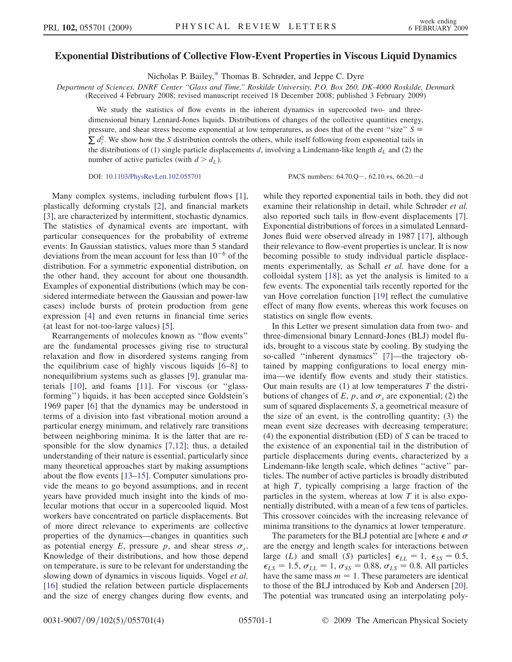## <span id="page-0-0"></span>Exponential Distributions of Collective Flow-Event Properties in Viscous Liquid Dynamics

Nicholas P. Bailey[,\\*](#page-3-0) Thomas B. Schrøder, and Jeppe C. Dyre

Department of Sciences, DNRF Center ''Glass and Time,'' Roskilde University, P.O. Box 260, DK-4000 Roskilde, Denmark (Received 4 February 2008; revised manuscript received 18 December 2008; published 3 February 2009)

We study the statistics of flow events in the inherent dynamics in supercooled two- and threedimensional binary Lennard-Jones liquids. Distributions of changes of the collective quantities energy, pressure, and shear stress become exponential at low temperatures, as does that of the event "size"  $S \equiv \sum d_i^2$ . We show how the S distribution controls the others, while itself following from exponential tails in the distributions of (1) single particle displacements d, involving a Lindemann-like length  $d<sub>L</sub>$  and (2) the number of active particles (with  $d > d<sub>L</sub>$ ).

DOI: [10.1103/PhysRevLett.102.055701](http://dx.doi.org/10.1103/PhysRevLett.102.055701)

 $, 62.10.+s, 66.20- d$ 

Many complex systems, including turbulent flows [[1\]](#page-3-0), plastically deforming crystals [[2\]](#page-3-0), and financial markets [\[3\]](#page-3-0), are characterized by intermittent, stochastic dynamics. The statistics of dynamical events are important, with particular consequences for the probability of extreme events: In Gaussian statistics, values more than 5 standard deviations from the mean account for less than  $10^{-6}$  of the distribution. For a symmetric exponential distribution, on the other hand, they account for about one thousandth. Examples of exponential distributions (which may be considered intermediate between the Gaussian and power-law cases) include bursts of protein production from gene expression [[4\]](#page-3-0) and even returns in financial time series (at least for not-too-large values) [[5\]](#page-3-0).

Rearrangements of molecules known as ''flow events'' are the fundamental processes giving rise to structural relaxation and flow in disordered systems ranging from the equilibrium case of highly viscous liquids [[6–8\]](#page-3-0) to nonequilibrium systems such as glasses [[9\]](#page-3-0), granular materials [\[10\]](#page-3-0), and foams [[11](#page-3-0)]. For viscous (or ''glassforming'') liquids, it has been accepted since Goldstein's 1969 paper [[6](#page-3-0)] that the dynamics may be understood in terms of a division into fast vibrational motion around a particular energy minimum, and relatively rare transitions between neighboring minima. It is the latter that are responsible for the slow dynamics [\[7,12\]](#page-3-0); thus, a detailed understanding of their nature is essential, particularly since many theoretical approaches start by making assumptions about the flow events [\[13–15](#page-3-0)]. Computer simulations provide the means to go beyond assumptions, and in recent years have provided much insight into the kinds of molecular motions that occur in a supercooled liquid. Most workers have concentrated on particle displacements. But of more direct relevance to experiments are collective properties of the dynamics—changes in quantities such as potential energy E, pressure p, and shear stress  $\sigma_s$ . Knowledge of their distributions, and how those depend on temperature, is sure to be relevant for understanding the slowing down of dynamics in viscous liquids. Vogel *et al.* [\[16\]](#page-3-0) studied the relation between particle displacements and the size of energy changes during flow events, and while they reported exponential tails in both, they did not examine their relationship in detail, while Schrøder et al. also reported such tails in flow-event displacements [[7\]](#page-3-0). Exponential distributions of forces in a simulated Lennard-Jones fluid were observed already in 1987 [\[17\]](#page-3-0), although their relevance to flow-event properties is unclear. It is now becoming possible to study individual particle displacements experimentally, as Schall et al. have done for a colloidal system [[18\]](#page-3-0); as yet the analysis is limited to a few events. The exponential tails recently reported for the van Hove correlation function [\[19\]](#page-3-0) reflect the cumulative effect of many flow events, whereas this work focuses on statistics on single flow events.

In this Letter we present simulation data from two- and three-dimensional binary Lennard-Jones (BLJ) model fluids, brought to a viscous state by cooling. By studying the so-called "inherent dynamics" [[7\]](#page-3-0)—the trajectory obtained by mapping configurations to local energy minima—we identify flow events and study their statistics. Our main results are  $(1)$  at low temperatures T the distributions of changes of E, p, and  $\sigma_s$  are exponential; (2) the sum of squared displacements S, a geometrical measure of the size of an event, is the controlling quantity; (3) the mean event size decreases with decreasing temperature; (4) the exponential distribution (ED) of S can be traced to the existence of an exponential tail in the distribution of particle displacements during events, characterized by a Lindemann-like length scale, which defines ''active'' particles. The number of active particles is broadly distributed at high T, typically comprising a large fraction of the particles in the system, whereas at low  $T$  it is also exponentially distributed, with a mean of a few tens of particles. This crossover coincides with the increasing relevance of minima transitions to the dynamics at lower temperature.

The parameters for the BLJ potential are [where  $\epsilon$  and  $\sigma$ are the energy and length scales for interactions between large (L) and small (S) particles]  $\epsilon_{LL} = 1$ ,  $\epsilon_{SS} = 0.5$ ,<br> $\epsilon_{LS} = 1.5$   $\sigma_{LL} = 1$ ,  $\sigma_{SS} = 0.88$   $\sigma_{LS} = 0.8$  All particles  $\epsilon_{LS} = 1.5$ ,  $\sigma_{LL} = 1$ ,  $\sigma_{SS} = 0.88$ ,  $\sigma_{LS} = 0.8$ . All particles<br>have the same mass  $m = 1$ . These parameters are identical have the same mass  $m = 1$ . These parameters are identical to those of the BLJ introduced by Kob and Andersen [[20\]](#page-3-0). The potential was truncated using an interpolating poly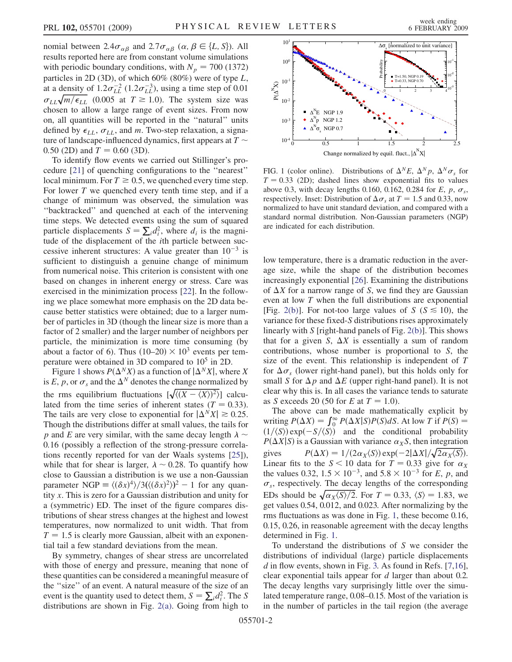nomial between 2.4 $\sigma_{\alpha\beta}$  and 2.7 $\sigma_{\alpha\beta}$  ( $\alpha$ ,  $\beta \in \{L, S\}$ ). All results reported here are from constant volume simulations with periodic boundary conditions, with  $N_p = 700$  (1372) particles in 2D (3D), of which 60% (80%) were of type L, at a density of  $1.2\sigma_{LL}^{-2}$  (1.2 $\sigma_{LL}^{-3}$ ), using a time step of 0.01  $\sigma_{LL} \sqrt{m/\epsilon_{LL}}$  (0.005 at  $T \ge 1.0$ ). The system size was<br>chosen to allow a large range of event sizes. From now chosen to allow a large range of event sizes. From now on, all quantities will be reported in the ''natural'' units defined by  $\epsilon_{LL}$ ,  $\sigma_{LL}$ , and m. Two-step relaxation, a signature of landscape-influenced dynamics, first appears at  $T \sim$ 0.50 (2D) and  $T = 0.60$  (3D).

To identify flow events we carried out Stillinger's procedure [[21](#page-3-0)] of quenching configurations to the ''nearest'' local minimum. For  $T \ge 0.5$ , we quenched every time step. For lower  $T$  we quenched every tenth time step, and if a change of minimum was observed, the simulation was ''backtracked'' and quenched at each of the intervening time steps. We detected events using the sum of squared particle displacements  $S = \sum_i d_i^2$ , where  $d_i$  is the magnitude of the displacement of the *i*th particle between suctude of the displacement of the ith particle between successive inherent structures: A value greater than  $10^{-3}$  is sufficient to distinguish a genuine change of minimum from numerical noise. This criterion is consistent with one based on changes in inherent energy or stress. Care was exercised in the minimization process [[22](#page-3-0)]. In the following we place somewhat more emphasis on the 2D data because better statistics were obtained; due to a larger number of particles in 3D (though the linear size is more than a factor of 2 smaller) and the larger number of neighbors per particle, the minimization is more time consuming (by about a factor of 6). Thus  $(10–20) \times 10^3$  events per temperature were obtained in 3D compared to 10<sup>5</sup> in 2D.

Figure 1 shows  $P(\Delta^N X)$  as a function of  $|\Delta^N X|$ , where X is E, p, or  $\sigma_s$  and the  $\Delta^N$  denotes the change normalized by the rms equilibrium fluctuations  $[\sqrt{\langle (X - \langle X \rangle)^2 \rangle}]$  calcu-<br>lated from the time series of inherent states  $(T = 0.33)$ lated from the time series of inherent states ( $T = 0.33$ ). The tails are very close to exponential for  $|\Delta^N X| \ge 0.25$ . Though the distributions differ at small values, the tails for p and E are very similar, with the same decay length  $\lambda \sim$ 0:16 (possibly a reflection of the strong-pressure correlations recently reported for van der Waals systems [\[25](#page-3-0)]), while that for shear is larger,  $\lambda \sim 0.28$ . To quantify how close to Gaussian a distribution is we use a non-Gaussian parameter NGP  $\equiv \langle (\delta x)^4 \rangle / 3 (\langle (\delta x)^2 \rangle)^2 - 1$  for any quan-<br>tity x. This is zero for a Gaussian distribution and unity for parameter  $NGP \equiv \langle (\partial x)^2 \rangle / 3 \langle (\partial x)^2 \rangle^2 = 1$  for any quantity x. This is zero for a Gaussian distribution and unity for a (symmetric) ED. The inset of the figure compares distributions of shear stress changes at the highest and lowest temperatures, now normalized to unit width. That from  $T = 1.5$  is clearly more Gaussian, albeit with an exponential tail a few standard deviations from the mean.

By symmetry, changes of shear stress are uncorrelated with those of energy and pressure, meaning that none of these quantities can be considered a meaningful measure of the ''size'' of an event. A natural measure of the size of an event is the quantity used to detect them,  $S = \sum_i d_i^2$ . The S<br>distributions are shown in Fig. 2(a). Going from high to distributions are shown in Fig. [2\(a\)](#page-2-0). Going from high to



FIG. 1 (color online). Distributions of  $\Delta^N E$ ,  $\Delta^N p$ ,  $\Delta^N \sigma_s$  for  $T = 0.33$  (2D); dashed lines show exponential fits to values above 0.3, with decay lengths 0.160, 0.162, 0.284 for E, p,  $\sigma_s$ , respectively. Inset: Distribution of  $\Delta \sigma_s$  at  $T = 1.5$  and 0.33, now normalized to have unit standard deviation, and compared with a standard normal distribution. Non-Gaussian parameters (NGP) are indicated for each distribution.

low temperature, there is a dramatic reduction in the average size, while the shape of the distribution becomes increasingly exponential [\[26\]](#page-3-0). Examining the distributions of  $\Delta X$  for a narrow range of S, we find they are Gaussian even at low T when the full distributions are exponential [Fig. [2\(b\)](#page-2-0)]. For not-too large values of S ( $S \le 10$ ), the variance for these fixed-S distributions rises approximately linearly with S [right-hand panels of Fig. [2\(b\)\]](#page-2-0). This shows that for a given S,  $\Delta X$  is essentially a sum of random contributions, whose number is proportional to S, the size of the event. This relationship is independent of T for  $\Delta \sigma_s$  (lower right-hand panel), but this holds only for small S for  $\Delta p$  and  $\Delta E$  (upper right-hand panel). It is not clear why this is. In all cases the variance tends to saturate as S exceeds 20 (50 for E at  $T = 1.0$ ).

The above can be made mathematically explicit by writing  $P(\Delta X) = \int_0^\infty P(\Delta X|S)P(S) dS$ . At low T if  $P(S) = (1/(S)) \exp(-S/(S))$  and the conditional probability  $(1/\langle S \rangle)$  exp $(-S/\langle \overline{S} \rangle)$  and the conditional probability<br> $P(\Lambda X | S)$  is a Gaussian with variance  $\alpha_N S$  then integration  $P(\Delta X|S)$  is a Gaussian with variance  $\alpha_X S$ , then integration<br>gives  $P(\Delta X) = 1/(2\alpha_X \langle S \rangle) \exp(-2|\Delta X|/\sqrt{2\alpha_X \langle S \rangle}).$ gives  $P(\Delta X) = 1/(2\alpha_X \langle S \rangle) \exp(-2|\Delta X|/\sqrt{2\alpha_X \langle S \rangle}).$ <br>Linear fits to the  $S < 10$  data for  $T = 0.33$  give for  $\alpha_X$ Linear fits to the  $S < 10$  data for  $T = 0.33$  give for  $\alpha_X$ the values 0.32,  $1.5 \times 10^{-3}$ , and  $5.8 \times 10^{-3}$  for E, p, and  $\sigma$ , respectively. The decay lengths of the corresponding  $\sigma_s$ , respectively. The decay lengths of the corresponding EDs should be  $\sqrt{\alpha_X \langle S \rangle / 2}$ . For  $T = 0.33$ ,  $\langle S \rangle = 1.83$ , we get values 0.54, 0.012, and 0.023. After normalizing by the get values 0.54, 0.012, and 0.023. After normalizing by the rms fluctuations as was done in Fig. 1, these become 0.16, 0.15, 0.26, in reasonable agreement with the decay lengths determined in Fig. 1.

To understand the distributions of  $S$  we consider the distributions of individual (large) particle displacements  $d$  in flow events, shown in Fig. [3.](#page-2-0) As found in Refs. [[7,16\]](#page-3-0), clear exponential tails appear for d larger than about 0.2. The decay lengths vary surprisingly little over the simulated temperature range, 0.08–0.15. Most of the variation is in the number of particles in the tail region (the average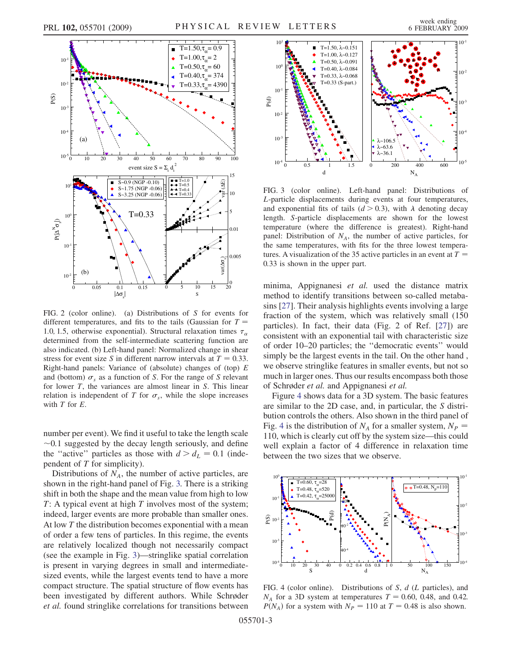

<span id="page-2-0"></span>

FIG. 2 (color online). (a) Distributions of S for events for different temperatures, and fits to the tails (Gaussian for  $T =$ 1.0, 1.5, otherwise exponential). Structural relaxation times  $\tau_{\alpha}$ determined from the self-intermediate scattering function are also indicated. (b) Left-hand panel: Normalized change in shear stress for event size S in different narrow intervals at  $T = 0.33$ . Right-hand panels: Variance of (absolute) changes of (top)  $E$ and (bottom)  $\sigma_s$  as a function of S. For the range of S relevant for lower  $T$ , the variances are almost linear in  $S$ . This linear relation is independent of T for  $\sigma_s$ , while the slope increases with  $T$  for  $E$ .

number per event). We find it useful to take the length scale  $\sim$ 0.1 suggested by the decay length seriously, and define the "active" particles as those with  $d > d_L = 0.1$  (independent of  $T$  for simplicity).

Distributions of  $N_A$ , the number of active particles, are shown in the right-hand panel of Fig. 3. There is a striking shift in both the shape and the mean value from high to low  $T: A$  typical event at high  $T$  involves most of the system; indeed, larger events are more probable than smaller ones. At low  $T$  the distribution becomes exponential with a mean of order a few tens of particles. In this regime, the events are relatively localized though not necessarily compact (see the example in Fig. 3)—stringlike spatial correlation is present in varying degrees in small and intermediatesized events, while the largest events tend to have a more compact structure. The spatial structure of flow events has been investigated by different authors. While Schrøder et al. found stringlike correlations for transitions between



FIG. 3 (color online). Left-hand panel: Distributions of L-particle displacements during events at four temperatures, and exponential fits of tails ( $d > 0.3$ ), with  $\lambda$  denoting decay length. S-particle displacements are shown for the lowest temperature (where the difference is greatest). Right-hand panel: Distribution of  $N_A$ , the number of active particles, for the same temperatures, with fits for the three lowest temperatures. A visualization of the 35 active particles in an event at  $T =$ 0:33 is shown in the upper part.

minima, Appignanesi et al. used the distance matrix method to identify transitions between so-called metabasins [\[27](#page-3-0)]. Their analysis highlights events involving a large fraction of the system, which was relatively small (150 particles). In fact, their data (Fig. 2 of Ref. [\[27\]](#page-3-0)) are consistent with an exponential tail with characteristic size of order 10–20 particles; the ''democratic events'' would simply be the largest events in the tail. On the other hand , we observe stringlike features in smaller events, but not so much in larger ones. Thus our results encompass both those of Schrøder et al. and Appignanesi et al.

Figure 4 shows data for a 3D system. The basic features are similar to the 2D case, and, in particular, the S distribution controls the others. Also shown in the third panel of Fig. 4 is the distribution of  $N_A$  for a smaller system,  $N_P$  = 110, which is clearly cut off by the system size—this could well explain a factor of 4 difference in relaxation time between the two sizes that we observe.



FIG. 4 (color online). Distributions of S, d (L particles), and  $N_A$  for a 3D system at temperatures  $T = 0.60, 0.48,$  and 0.42.  $P(N_A)$  for a system with  $N_P = 110$  at  $T = 0.48$  is also shown.